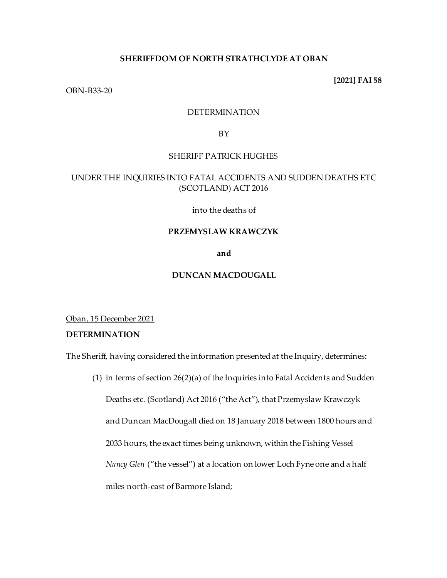## **SHERIFFDOM OF NORTH STRATHCLYDE AT OBAN**

**[2021] FAI 58**

OBN-B33-20

## DETERMINATION

BY

### SHERIFF PATRICK HUGHES

# UNDER THE INQUIRIES INTO FATAL ACCIDENTS AND SUDDEN DEATHS ETC (SCOTLAND) ACT 2016

into the deaths of

## **PRZEMYSLAW KRAWCZYK**

**and**

## **DUNCAN MACDOUGALL**

Oban, 15 December 2021

# **DETERMINATION**

The Sheriff, having considered the information presented at the Inquiry, determines:

(1) in terms of section 26(2)(a) of the Inquiries into Fatal Accidents and Sudden

Deaths etc. (Scotland) Act 2016 ("the Act"), that Przemyslaw Krawczyk and Duncan MacDougall died on 18 January 2018 between 1800 hours and 2033 hours, the exact times being unknown, within the Fishing Vessel *Nancy Glen* ("the vessel") at a location on lower Loch Fyne one and a half miles north-east of Barmore Island;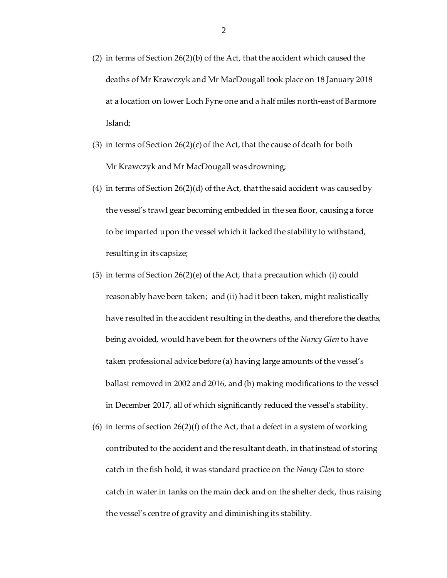- (2) in terms of Section 26(2)(b) of the Act, that the accident which caused the deaths of Mr Krawczyk and Mr MacDougall took place on 18 January 2018 at a location on lower Loch Fyne one and a half miles north-east of Barmore Island;
- (3) in terms of Section 26(2)(c) of the Act, that the cause of death for both Mr Krawczyk and Mr MacDougall was drowning;
- (4) in terms of Section  $26(2)(d)$  of the Act, that the said accident was caused by the vessel's trawl gear becoming embedded in the sea floor, causing a force to be imparted upon the vessel which it lacked the stability to withstand, resulting in its capsize;
- (5) in terms of Section 26(2)(e) of the Act, that a precaution which (i) could reasonably have been taken; and (ii) had it been taken, might realistically have resulted in the accident resulting in the deaths, and therefore the deaths, being avoided, would have been for the owners of the *Nancy Glen* to have taken professional advice before (a) having large amounts of the vessel's ballast removed in 2002 and 2016, and (b) making modifications to the vessel in December 2017, all of which significantly reduced the vessel's stability.
- (6) in terms of section  $26(2)(f)$  of the Act, that a defect in a system of working contributed to the accident and the resultant death, in that instead of storing catch in the fish hold, it was standard practice on the *Nancy Glen* to store catch in water in tanks on the main deck and on the shelter deck, thus raising the vessel's centre of gravity and diminishing its stability.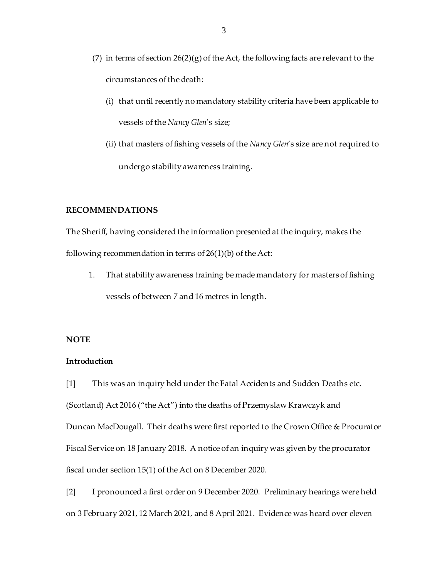- (7) in terms of section  $26(2)(g)$  of the Act, the following facts are relevant to the circumstances of the death:
	- (i) that until recently no mandatory stability criteria have been applicable to vessels of the *Nancy Glen*'s size;
	- (ii) that masters of fishing vessels of the *Nancy Glen*'s size are not required to undergo stability awareness training.

## **RECOMMENDATIONS**

The Sheriff, having considered the information presented at the inquiry, makes the following recommendation in terms of 26(1)(b) of the Act:

1. That stability awareness training be made mandatory for masters of fishing vessels of between 7 and 16 metres in length.

### **NOTE**

# **Introduction**

[1] This was an inquiry held under the Fatal Accidents and Sudden Deaths etc. (Scotland) Act 2016 ("the Act") into the deaths of Przemyslaw Krawczyk and Duncan MacDougall. Their deaths were first reported to the Crown Office & Procurator Fiscal Service on 18 January 2018. A notice of an inquiry was given by the procurator fiscal under section 15(1) of the Act on 8 December 2020.

[2] I pronounced a first order on 9 December 2020. Preliminary hearings were held on 3 February 2021, 12 March 2021, and 8 April 2021. Evidence was heard over eleven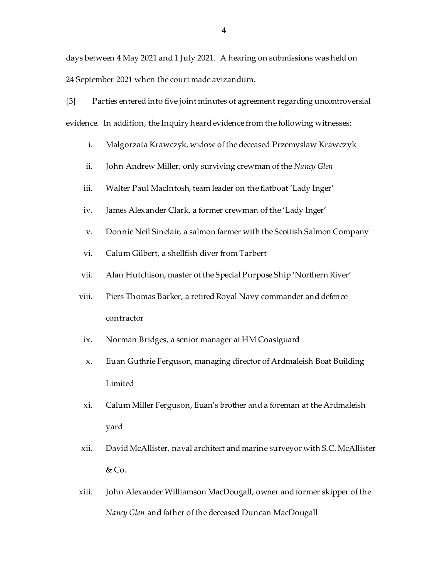days between 4 May 2021 and 1 July 2021. A hearing on submissions was held on 24 September 2021 when the court made avizandum.

[3] Parties entered into five joint minutes of agreement regarding uncontroversial evidence. In addition, the Inquiry heard evidence from the following witnesses:

- i. Malgorzata Krawczyk, widow of the deceased Przemyslaw Krawczyk
- ii. John Andrew Miller, only surviving crewman of the *Nancy Glen*
- iii. Walter Paul MacIntosh, team leader on the flatboat 'Lady Inger'
- iv. James Alexander Clark, a former crewman of the 'Lady Inger'
- v. Donnie Neil Sinclair, a salmon farmer with the Scottish Salmon Company
- vi. Calum Gilbert, a shellfish diver from Tarbert
- vii. Alan Hutchison, master of the Special Purpose Ship 'Northern River'
- viii. Piers Thomas Barker, a retired Royal Navy commander and defence contractor
- ix. Norman Bridges, a senior manager at HM Coastguard
- x. Euan Guthrie Ferguson, managing director of Ardmaleish Boat Building Limited
- xi. Calum Miller Ferguson, Euan's brother and a foreman at the Ardmaleish yard
- xii. David McAllister, naval architect and marine surveyor with S.C. McAllister & Co.
- xiii. John Alexander Williamson MacDougall, owner and former skipper of the *Nancy Glen* and father of the deceased Duncan MacDougall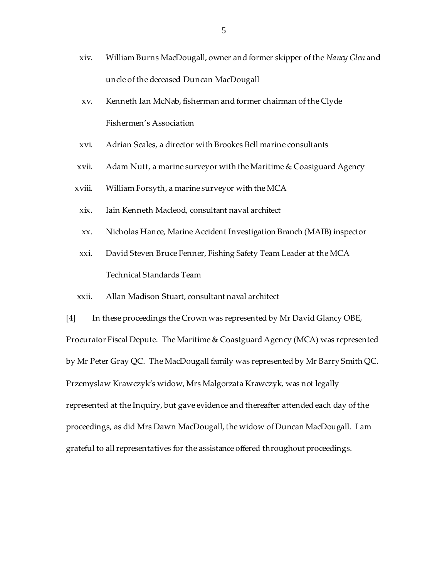- xiv. William Burns MacDougall, owner and former skipper of the *Nancy Glen* and uncle of the deceased Duncan MacDougall
- xv. Kenneth Ian McNab, fisherman and former chairman of the Clyde Fishermen's Association
- xvi. Adrian Scales, a director with Brookes Bell marine consultants
- xvii. Adam Nutt, a marine surveyor with the Maritime & Coastguard Agency
- xviii. William Forsyth, a marine surveyor with the MCA
- xix. Iain Kenneth Macleod, consultant naval architect
- xx. Nicholas Hance, Marine Accident Investigation Branch (MAIB) inspector
- xxi. David Steven Bruce Fenner, Fishing Safety Team Leader at the MCA Technical Standards Team
- xxii. Allan Madison Stuart, consultant naval architect

[4] In these proceedings the Crown was represented by Mr David Glancy OBE, Procurator Fiscal Depute. The Maritime & Coastguard Agency (MCA) was represented by Mr Peter Gray QC. The MacDougall family was represented by Mr Barry Smith QC. Przemyslaw Krawczyk's widow, Mrs Malgorzata Krawczyk, was not legally represented at the Inquiry, but gave evidence and thereafter attended each day of the proceedings, as did Mrs Dawn MacDougall, the widow of Duncan MacDougall. I am grateful to all representatives for the assistance offered throughout proceedings.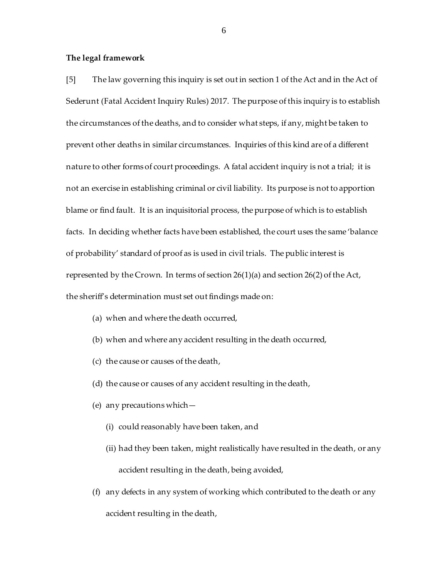#### **The legal framework**

[5] The law governing this inquiry is set out in section 1 of the Act and in the Act of Sederunt (Fatal Accident Inquiry Rules) 2017. The purpose of this inquiry is to establish the circumstances of the deaths, and to consider what steps, if any, might be taken to prevent other deaths in similar circumstances. Inquiries of this kind are of a different nature to other forms of court proceedings. A fatal accident inquiry is not a trial; it is not an exercise in establishing criminal or civil liability. Its purpose is not to apportion blame or find fault. It is an inquisitorial process, the purpose of which is to establish facts. In deciding whether facts have been established, the court uses the same 'balance of probability' standard of proof as is used in civil trials. The public interest is represented by the Crown. In terms of section 26(1)(a) and section 26(2) of the Act, the sheriff's determination must set out findings made on:

- (a) when and where the death occurred,
- (b) when and where any accident resulting in the death occurred,
- (c) the cause or causes of the death,
- (d) the cause or causes of any accident resulting in the death,
- (e) any precautions which—
	- (i) could reasonably have been taken, and
	- (ii) had they been taken, might realistically have resulted in the death, or any accident resulting in the death, being avoided,
- (f) any defects in any system of working which contributed to the death or any accident resulting in the death,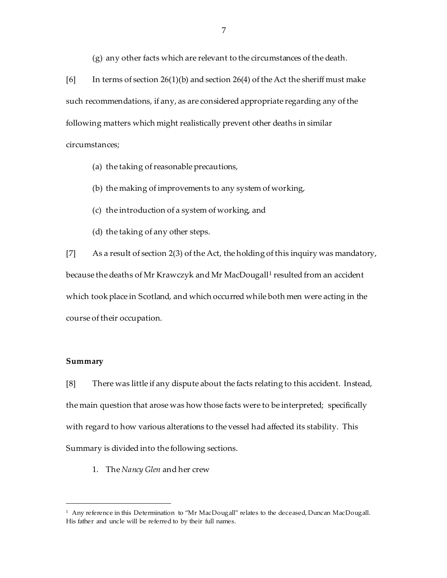(g) any other facts which are relevant to the circumstances of the death.

[6] In terms of section 26(1)(b) and section 26(4) of the Act the sheriff must make such recommendations, if any, as are considered appropriate regarding any of the following matters which might realistically prevent other deaths in similar circumstances;

(a) the taking of reasonable precautions,

(b) the making of improvements to any system of working,

- (c) the introduction of a system of working, and
- (d) the taking of any other steps.

[7] As a result of section 2(3) of the Act, the holding of this inquiry was mandatory, because the deaths of Mr Krawczyk and Mr MacDougall<sup>1</sup> resulted from an accident which took place in Scotland, and which occurred while both men were acting in the course of their occupation.

# **Summary**

l

[8] There was little if any dispute about the facts relating to this accident. Instead, the main question that arose was how those facts were to be interpreted; specifically with regard to how various alterations to the vessel had affected its stability. This Summary is divided into the following sections.

1. The *Nancy Glen* and her crew

<sup>1</sup> Any reference in this Determination to "Mr MacDougall" relates to the deceased, Duncan MacDougall. His father and uncle will be referred to by their full names.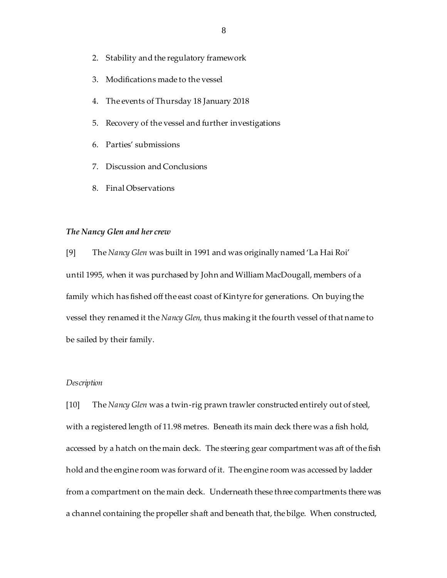- 2. Stability and the regulatory framework
- 3. Modifications made to the vessel
- 4. The events of Thursday 18 January 2018
- 5. Recovery of the vessel and further investigations
- 6. Parties' submissions
- 7. Discussion and Conclusions
- 8. Final Observations

#### *The Nancy Glen and her crew*

[9] The *Nancy Glen* was built in 1991 and was originally named 'La Hai Roi' until 1995, when it was purchased by John and William MacDougall, members of a family which has fished off the east coast of Kintyre for generations. On buying the vessel they renamed it the *Nancy Glen*, thus making it the fourth vessel of that name to be sailed by their family.

#### *Description*

[10] The *Nancy Glen* was a twin-rig prawn trawler constructed entirely out of steel, with a registered length of 11.98 metres. Beneath its main deck there was a fish hold, accessed by a hatch on the main deck. The steering gear compartment was aft of the fish hold and the engine room was forward of it. The engine room was accessed by ladder from a compartment on the main deck. Underneath these three compartments there was a channel containing the propeller shaft and beneath that, the bilge. When constructed,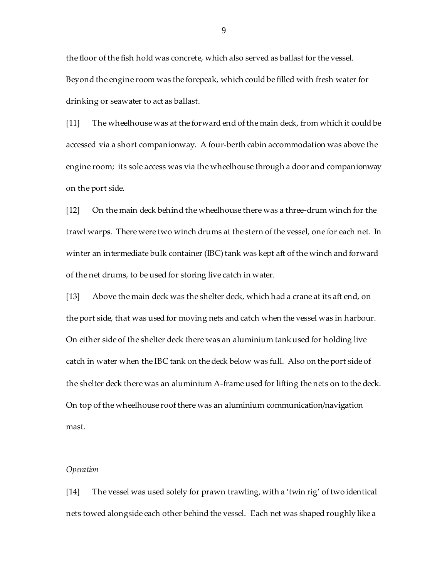the floor of the fish hold was concrete, which also served as ballast for the vessel. Beyond the engine room was the forepeak, which could be filled with fresh water for drinking or seawater to act as ballast.

[11] The wheelhouse was at the forward end of the main deck, from which it could be accessed via a short companionway. A four-berth cabin accommodation was above the engine room; its sole access was via the wheelhouse through a door and companionway on the port side.

[12] On the main deck behind the wheelhouse there was a three-drum winch for the trawl warps. There were two winch drums at the stern of the vessel, one for each net. In winter an intermediate bulk container (IBC) tank was kept aft of the winch and forward of the net drums, to be used for storing live catch in water.

[13] Above the main deck was the shelter deck, which had a crane at its aft end, on the port side, that was used for moving nets and catch when the vessel was in harbour. On either side of the shelter deck there was an aluminium tank used for holding live catch in water when the IBC tank on the deck below was full. Also on the port side of the shelter deck there was an aluminium A-frame used for lifting the nets on to the deck. On top of the wheelhouse roof there was an aluminium communication/navigation mast.

## *Operation*

[14] The vessel was used solely for prawn trawling, with a 'twin rig' of two identical nets towed alongside each other behind the vessel. Each net was shaped roughly like a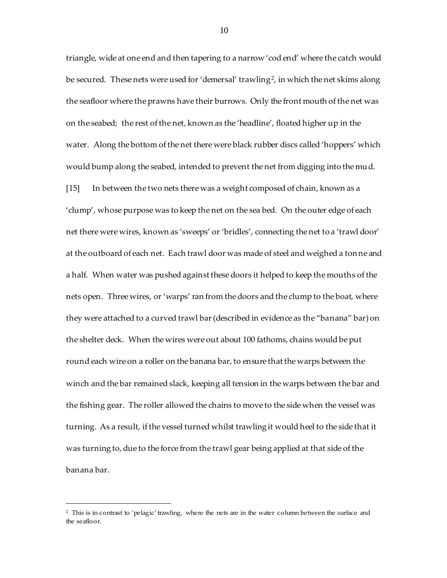triangle, wide at one end and then tapering to a narrow 'cod end' where the catch would be secured. These nets were used for 'demersal' trawling<sup>2</sup>, in which the net skims along the seafloor where the prawns have their burrows. Only the front mouth of the net was on the seabed; the rest of the net, known as the 'headline', floated higher up in the water. Along the bottom of the net there were black rubber discs called 'hoppers' which would bump along the seabed, intended to prevent the net from digging into the mud. [15] In between the two nets there was a weight composed of chain, known as a 'clump', whose purpose was to keep the net on the sea bed. On the outer edge of each net there were wires, known as 'sweeps' or 'bridles', connecting the net to a 'trawl door' at the outboard of each net. Each trawl door was made of steel and weighed a tonne and a half. When water was pushed against these doors it helped to keep the mouths of the nets open. Three wires, or 'warps' ran from the doors and the clump to the boat, where they were attached to a curved trawl bar (described in evidence as the "banana" bar) on the shelter deck. When the wires were out about 100 fathoms, chains would be put round each wire on a roller on the banana bar, to ensure that the warps between the winch and the bar remained slack, keeping all tension in the warps between the bar and the fishing gear. The roller allowed the chains to move to the side when the vessel was turning. As a result, if the vessel turned whilst trawling it would heel to the side that it was turning to, due to the force from the trawl gear being applied at that side of the banana bar.

<sup>2</sup> This is in contrast to 'pelagic' trawling, where the nets are in the water column between the surface and the seafloor.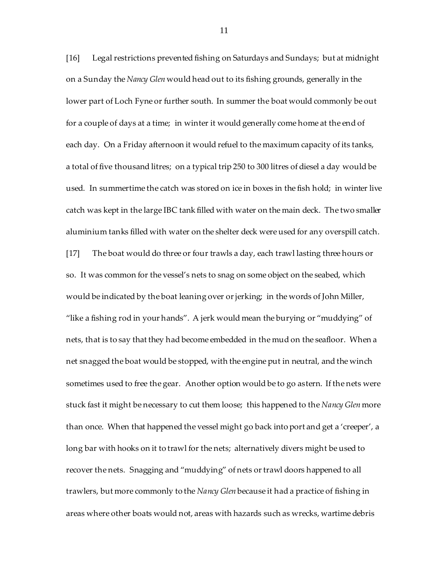[16] Legal restrictions prevented fishing on Saturdays and Sundays; but at midnight on a Sunday the *Nancy Glen* would head out to its fishing grounds, generally in the lower part of Loch Fyne or further south. In summer the boat would commonly be out for a couple of days at a time; in winter it would generally come home at the end of each day. On a Friday afternoon it would refuel to the maximum capacity of its tanks, a total of five thousand litres; on a typical trip 250 to 300 litres of diesel a day would be used. In summertime the catch was stored on ice in boxes in the fish hold; in winter live catch was kept in the large IBC tank filled with water on the main deck. The two smaller aluminium tanks filled with water on the shelter deck were used for any overspill catch.

[17] The boat would do three or four trawls a day, each trawl lasting three hours or so. It was common for the vessel's nets to snag on some object on the seabed, which would be indicated by the boat leaning over or jerking; in the words of John Miller, "like a fishing rod in your hands". A jerk would mean the burying or "muddying" of nets, that is to say that they had become embedded in the mud on the seafloor. When a net snagged the boat would be stopped, with the engine put in neutral, and the winch sometimes used to free the gear. Another option would be to go astern. If the nets were stuck fast it might be necessary to cut them loose; this happened to the *Nancy Glen* more than once. When that happened the vessel might go back into port and get a 'creeper', a long bar with hooks on it to trawl for the nets; alternatively divers might be used to recover the nets. Snagging and "muddying" of nets or trawl doors happened to all trawlers, but more commonly to the *Nancy Glen* because it had a practice of fishing in areas where other boats would not, areas with hazards such as wrecks, wartime debris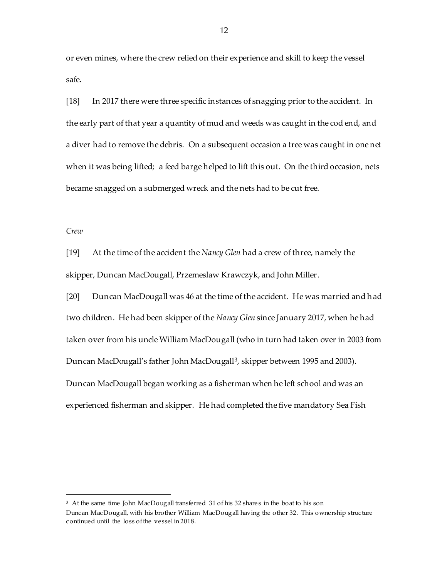or even mines, where the crew relied on their experience and skill to keep the vessel safe.

[18] In 2017 there were three specific instances of snagging prior to the accident. In the early part of that year a quantity of mud and weeds was caught in the cod end, and a diver had to remove the debris. On a subsequent occasion a tree was caught in one net when it was being lifted; a feed barge helped to lift this out. On the third occasion, nets became snagged on a submerged wreck and the nets had to be cut free.

## *Crew*

l

[19] At the time of the accident the *Nancy Glen* had a crew of three, namely the skipper, Duncan MacDougall, Przemeslaw Krawczyk, and John Miller.

[20] Duncan MacDougall was 46 at the time of the accident. He was married and had two children. He had been skipper of the *Nancy Glen* since January 2017, when he had taken over from his uncle William MacDougall (who in turn had taken over in 2003 from Duncan MacDougall's father John MacDougall<sup>3</sup>, skipper between 1995 and 2003). Duncan MacDougall began working as a fisherman when he left school and was an experienced fisherman and skipper. He had completed the five mandatory Sea Fish

<sup>3</sup> At the same time John MacDougall transferred 31 of his 32 share s in the boat to his son Duncan MacDougall, with his brother William MacDougall having the other 32. This ownership structure continued until the loss of the vessel in 2018.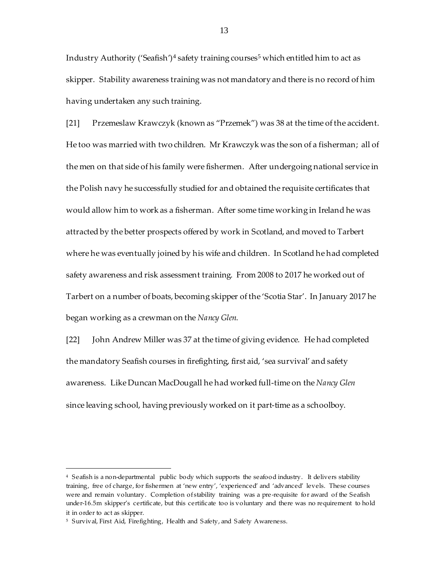Industry Authority ('Seafish')<sup>4</sup> safety training courses<sup>5</sup> which entitled him to act as skipper. Stability awareness training was not mandatory and there is no record of him having undertaken any such training.

[21] Przemeslaw Krawczyk (known as "Przemek") was 38 at the time of the accident. He too was married with two children. Mr Krawczyk was the son of a fisherman; all of the men on that side of his family were fishermen. After undergoing national service in the Polish navy he successfully studied for and obtained the requisite certificates that would allow him to work as a fisherman. After some time working in Ireland he was attracted by the better prospects offered by work in Scotland, and moved to Tarbert where he was eventually joined by his wife and children. In Scotland he had completed safety awareness and risk assessment training. From 2008 to 2017 he worked out of Tarbert on a number of boats, becoming skipper of the 'Scotia Star'. In January 2017 he began working as a crewman on the *Nancy Glen*.

[22] John Andrew Miller was 37 at the time of giving evidence. He had completed the mandatory Seafish courses in firefighting, first aid, 'sea survival' and safety awareness. Like Duncan MacDougall he had worked full-time on the *Nancy Glen* since leaving school, having previously worked on it part-time as a schoolboy.

<sup>4</sup> Seafish is a non-departmental public body which supports the seafood industry. It delivers stability training, free of charge, for fishermen at 'new entry', 'experienced' and 'advanced' levels. These courses were and remain voluntary. Completion of stability training was a pre -requisite for award of the Seafish under-16.5m skipper's certificate, but this certificate too is voluntary and there was no requirement to hold it in order to act as skipper.

<sup>5</sup> Survival, First Aid, Firefighting, Health and Safety, and Safety Awareness.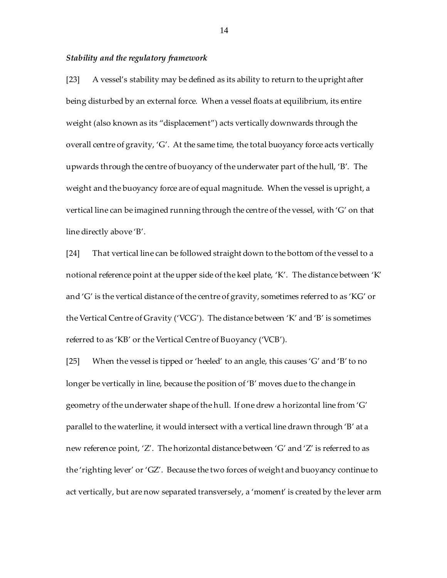#### *Stability and the regulatory framework*

[23] A vessel's stability may be defined as its ability to return to the upright after being disturbed by an external force. When a vessel floats at equilibrium, its entire weight (also known as its "displacement") acts vertically downwards through the overall centre of gravity, 'G'. At the same time, the total buoyancy force acts vertically upwards through the centre of buoyancy of the underwater part of the hull, 'B'. The weight and the buoyancy force are of equal magnitude. When the vessel is upright, a vertical line can be imagined running through the centre of the vessel, with 'G' on that line directly above 'B'.

[24] That vertical line can be followed straight down to the bottom of the vessel to a notional reference point at the upper side of the keel plate, 'K'. The distance between 'K' and 'G' is the vertical distance of the centre of gravity, sometimes referred to as 'KG' or the Vertical Centre of Gravity ('VCG'). The distance between 'K' and 'B' is sometimes referred to as 'KB' or the Vertical Centre of Buoyancy ('VCB').

[25] When the vessel is tipped or 'heeled' to an angle, this causes 'G' and 'B' to no longer be vertically in line, because the position of 'B' moves due to the change in geometry of the underwater shape of the hull. If one drew a horizontal line from 'G' parallel to the waterline, it would intersect with a vertical line drawn through 'B' at a new reference point, 'Z'. The horizontal distance between 'G' and 'Z' is referred to as the 'righting lever' or 'GZ'. Because the two forces of weight and buoyancy continue to act vertically, but are now separated transversely, a 'moment' is created by the lever arm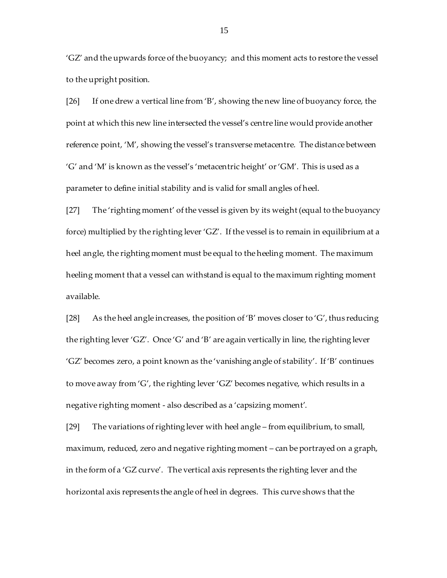'GZ' and the upwards force of the buoyancy; and this moment acts to restore the vessel to the upright position.

[26] If one drew a vertical line from 'B', showing the new line of buoyancy force, the point at which this new line intersected the vessel's centre line would provide another reference point, 'M', showing the vessel's transverse metacentre. The distance between 'G' and 'M' is known as the vessel's 'metacentric height' or 'GM'. This is used as a parameter to define initial stability and is valid for small angles of heel.

[27] The 'righting moment' of the vessel is given by its weight (equal to the buoyancy force) multiplied by the righting lever 'GZ'. If the vessel is to remain in equilibrium at a heel angle, the righting moment must be equal to the heeling moment. The maximum heeling moment that a vessel can withstand is equal to the maximum righting moment available.

[28] As the heel angle increases, the position of 'B' moves closer to 'G', thus reducing the righting lever 'GZ'. Once 'G' and 'B' are again vertically in line, the righting lever 'GZ' becomes zero, a point known as the 'vanishing angle of stability'. If 'B' continues to move away from 'G', the righting lever 'GZ' becomes negative, which results in a negative righting moment - also described as a 'capsizing moment'.

[29] The variations of righting lever with heel angle – from equilibrium, to small, maximum, reduced, zero and negative righting moment – can be portrayed on a graph, in the form of a 'GZ curve'. The vertical axis represents the righting lever and the horizontal axis represents the angle of heel in degrees. This curve shows that the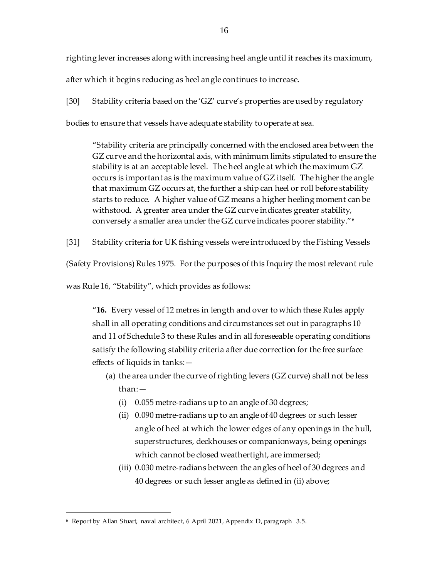righting lever increases along with increasing heel angle until it reaches its maximum,

after which it begins reducing as heel angle continues to increase.

[30] Stability criteria based on the 'GZ' curve's properties are used by regulatory

bodies to ensure that vessels have adequate stability to operate at sea.

"Stability criteria are principally concerned with the enclosed area between the GZ curve and the horizontal axis, with minimum limits stipulated to ensure the stability is at an acceptable level. The heel angle at which the maximum GZ occurs is important as is the maximum value of GZ itself. The higher the angle that maximum GZ occurs at, the further a ship can heel or roll before stability starts to reduce. A higher value of GZ means a higher heeling moment can be withstood. A greater area under the GZ curve indicates greater stability, conversely a smaller area under the GZ curve indicates poorer stability."<sup>6</sup>

[31] Stability criteria for UK fishing vessels were introduced by the Fishing Vessels

(Safety Provisions) Rules 1975. For the purposes of this Inquiry the most relevant rule

was Rule 16, "Stability", which provides as follows:

"**16.** Every vessel of 12 metres in length and over to which these Rules apply shall in all operating conditions and circumstances set out in paragraphs 10 and 11 of Schedule 3 to these Rules and in all foreseeable operating conditions satisfy the following stability criteria after due correction for the free surface effects of liquids in tanks:—

- (a) the area under the curve of righting levers (GZ curve) shall not be less than:—
	- (i) 0.055 metre-radians up to an angle of 30 degrees;
	- (ii) 0.090 metre-radians up to an angle of 40 degrees or such lesser angle of heel at which the lower edges of any openings in the hull, superstructures, deckhouses or companionways, being openings which cannot be closed weathertight, are immersed;
	- (iii) 0.030 metre-radians between the angles of heel of 30 degrees and 40 degrees or such lesser angle as defined in (ii) above;

<sup>6</sup> Report by Allan Stuart, naval architect, 6 April 2021, Appendix D, paragraph 3.5.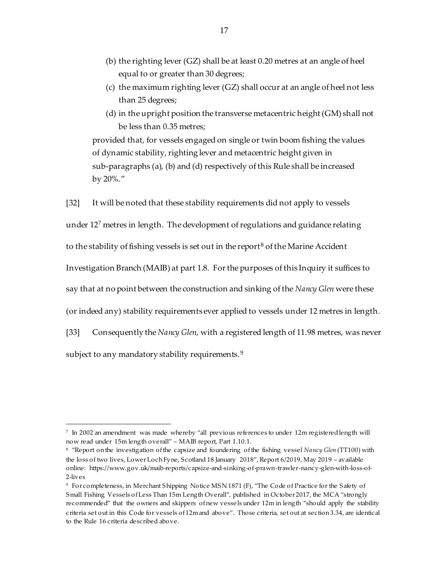- (b) the righting lever (GZ) shall be at least 0.20 metres at an angle of heel equal to or greater than 30 degrees;
- (c) the maximum righting lever (GZ) shall occur at an angle of heel not less than 25 degrees;
- (d) in the upright position the transverse metacentric height (GM) shall not be less than 0.35 metres;

provided that, for vessels engaged on single or twin boom fishing the values of dynamic stability, righting lever and metacentric height given in sub-paragraphs (a), (b) and (d) respectively of this Rule shall be increased by 20%."

[32] It will be noted that these stability requirements did not apply to vessels

under 12<sup>7</sup> metres in length. The development of regulations and guidance relating

to the stability of fishing vessels is set out in the report<sup>8</sup> of the Marine Accident

Investigation Branch (MAIB) at part 1.8. For the purposes of this Inquiry it suffices to

say that at no point between the construction and sinking of the *Nancy Glen* were these

(or indeed any) stability requirements ever applied to vessels under 12 metres in length.

[33] Consequently the *Nancy Glen*, with a registered length of 11.98 metres, was never subject to any mandatory stability requirements.<sup>9</sup>

j

 $^7\,$  In 2002 an amendment  $\,$  was made  $\,$  whereby "all previous references to under  $\,12$ m $\,$  registered length  $\,$  will  $\,$ now read under 15m length overall" – MAIB report, Part 1.10.1.

<sup>8</sup> "Report on the investigation of the capsize and foundering of the fishing vessel *Nancy Glen* (TT100) with the loss of two lives, Lower Loch Fyne, Scotland 18 January 2018", Report 6/2019, May 2019 – available online: https://www.gov.uk/maib-reports/capsize-and-sinking-of-prawn-trawler-nancy-glen-with-loss-of-2-lives

<sup>9</sup> For completeness, in Merchant Shipping Notice MSN 1871 (F), "The Code of Practice for the Safety of Small Fishing Vessels of Less Than 15m Length Overall", published in October 2017, the MCA "strongly recommended" that the owners and skippers of new vessels under 12m in length "should apply the stability criteria set out in this Code for vessels of 12m and above". Those criteria, set out at section 3.34, are identical to the Rule 16 criteria described above.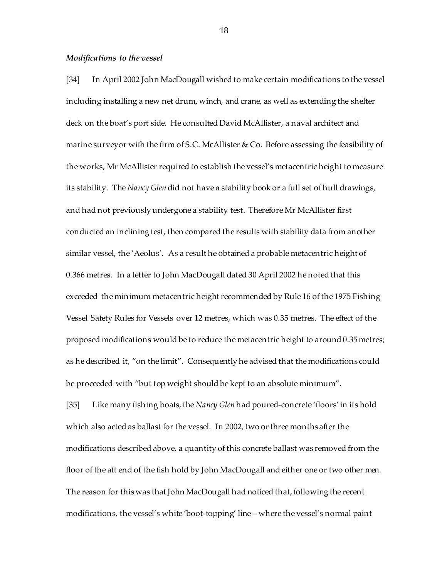#### *Modifications to the vessel*

[34] In April 2002 John MacDougall wished to make certain modifications to the vessel including installing a new net drum, winch, and crane, as well as extending the shelter deck on the boat's port side. He consulted David McAllister, a naval architect and marine surveyor with the firm of S.C. McAllister & Co. Before assessing the feasibility of the works, Mr McAllister required to establish the vessel's metacentric height to measure its stability. The *Nancy Glen* did not have a stability book or a full set of hull drawings, and had not previously undergone a stability test. Therefore Mr McAllister first conducted an inclining test, then compared the results with stability data from another similar vessel, the 'Aeolus'. As a result he obtained a probable metacentric height of 0.366 metres. In a letter to John MacDougall dated 30 April 2002 he noted that this exceeded the minimum metacentric height recommended by Rule 16 of the 1975 Fishing Vessel Safety Rules for Vessels over 12 metres, which was 0.35 metres. The effect of the proposed modifications would be to reduce the metacentric height to around 0.35 metres; as he described it, "on the limit". Consequently he advised that the modifications could be proceeded with "but top weight should be kept to an absolute minimum".

[35] Like many fishing boats, the *Nancy Glen* had poured-concrete 'floors' in its hold which also acted as ballast for the vessel. In 2002, two or three months after the modifications described above, a quantity of this concrete ballast was removed from the floor of the aft end of the fish hold by John MacDougall and either one or two other men. The reason for this was that John MacDougall had noticed that, following the recent modifications, the vessel's white 'boot-topping' line – where the vessel's normal paint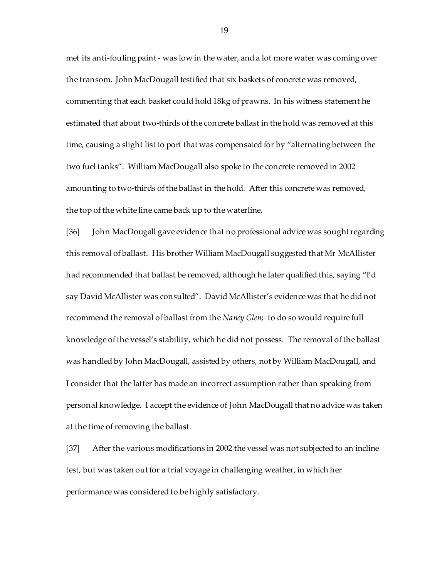met its anti-fouling paint - was low in the water, and a lot more water was coming over the transom. John MacDougall testified that six baskets of concrete was removed, commenting that each basket could hold 18kg of prawns. In his witness statement he estimated that about two-thirds of the concrete ballast in the hold was removed at this time, causing a slight list to port that was compensated for by "alternating between the two fuel tanks". William MacDougall also spoke to the concrete removed in 2002 amounting to two-thirds of the ballast in the hold. After this concrete was removed, the top of the white line came back up to the waterline.

[36] John MacDougall gave evidence that no professional advice was sought regarding this removal of ballast. His brother William MacDougall suggested that Mr McAllister had recommended that ballast be removed, although he later qualified this, saying "I'd say David McAllister was consulted". David McAllister's evidence was that he did not recommend the removal of ballast from the *Nancy Glen*; to do so would require full knowledge of the vessel's stability, which he did not possess. The removal of the ballast was handled by John MacDougall, assisted by others, not by William MacDougall, and I consider that the latter has made an incorrect assumption rather than speaking from personal knowledge. I accept the evidence of John MacDougall that no advice was taken at the time of removing the ballast.

[37] After the various modifications in 2002 the vessel was not subjected to an incline test, but was taken out for a trial voyage in challenging weather, in which her performance was considered to be highly satisfactory.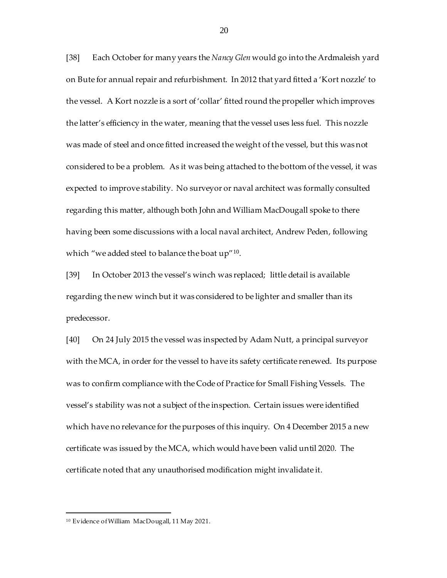[38] Each October for many years the *Nancy Glen* would go into the Ardmaleish yard on Bute for annual repair and refurbishment. In 2012 that yard fitted a 'Kort nozzle' to the vessel. A Kort nozzle is a sort of 'collar' fitted round the propeller which improves the latter's efficiency in the water, meaning that the vessel uses less fuel. This nozzle was made of steel and once fitted increased the weight of the vessel, but this was not considered to be a problem. As it was being attached to the bottom of the vessel, it was expected to improve stability. No surveyor or naval architect was formally consulted regarding this matter, although both John and William MacDougall spoke to there having been some discussions with a local naval architect, Andrew Peden, following which "we added steel to balance the boat  $up''$ <sup>10</sup>.

[39] In October 2013 the vessel's winch was replaced; little detail is available regarding the new winch but it was considered to be lighter and smaller than its predecessor.

[40] On 24 July 2015 the vessel was inspected by Adam Nutt, a principal surveyor with the MCA, in order for the vessel to have its safety certificate renewed. Its purpose was to confirm compliance with the Code of Practice for Small Fishing Vessels. The vessel's stability was not a subject of the inspection. Certain issues were identified which have no relevance for the purposes of this inquiry. On 4 December 2015 a new certificate was issued by the MCA, which would have been valid until 2020. The certificate noted that any unauthorised modification might invalidate it.

<sup>10</sup> Evidence of William MacDougall, 11 May 2021.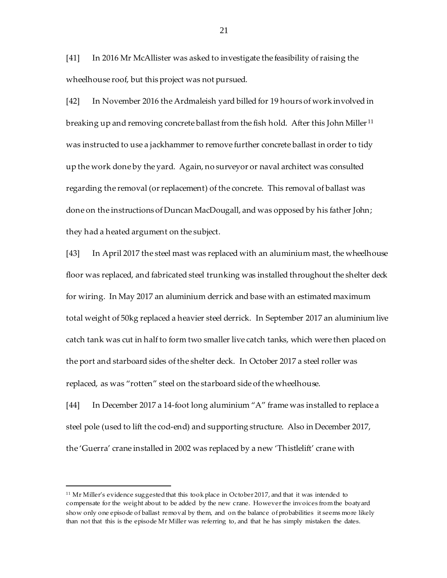[41] In 2016 Mr McAllister was asked to investigate the feasibility of raising the wheelhouse roof, but this project was not pursued.

[42] In November 2016 the Ardmaleish yard billed for 19 hours of work involved in breaking up and removing concrete ballast from the fish hold. After this John Miller<sup>11</sup> was instructed to use a jackhammer to remove further concrete ballast in order to tidy up the work done by the yard. Again, no surveyor or naval architect was consulted regarding the removal (or replacement) of the concrete. This removal of ballast was done on the instructions of Duncan MacDougall, and was opposed by his father John; they had a heated argument on the subject.

[43] In April 2017 the steel mast was replaced with an aluminium mast, the wheelhouse floor was replaced, and fabricated steel trunking was installed throughout the shelter deck for wiring. In May 2017 an aluminium derrick and base with an estimated maximum total weight of 50kg replaced a heavier steel derrick. In September 2017 an aluminium live catch tank was cut in half to form two smaller live catch tanks, which were then placed on the port and starboard sides of the shelter deck. In October 2017 a steel roller was replaced, as was "rotten" steel on the starboard side of the wheelhouse.

[44] In December 2017 a 14-foot long aluminium "A" frame was installed to replace a steel pole (used to lift the cod-end) and supporting structure. Also in December 2017, the 'Guerra' crane installed in 2002 was replaced by a new 'Thistlelift' crane with

<sup>&</sup>lt;sup>11</sup> Mr Miller's evidence suggested that this took place in October 2017, and that it was intended to compensate for the weight about to be added by the new crane. However the invoices from the boatyard show only one episode of ballast removal by them, and on the balance of probabilities it seems more likely than not that this is the episode Mr Miller was referring to, and that he has simply mistaken the dates.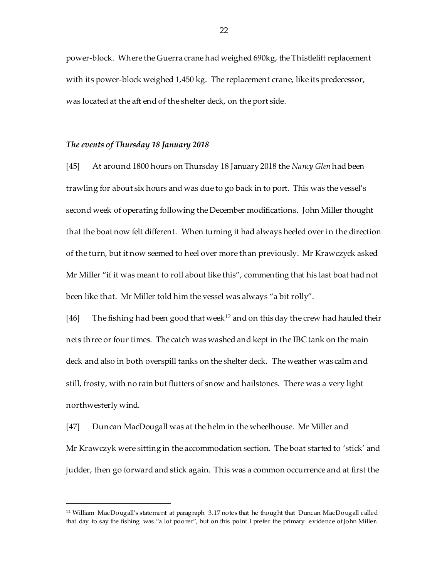power-block. Where the Guerra crane had weighed 690kg, the Thistlelift replacement with its power-block weighed 1,450 kg. The replacement crane, like its predecessor, was located at the aft end of the shelter deck, on the port side.

## *The events of Thursday 18 January 2018*

l

[45] At around 1800 hours on Thursday 18 January 2018 the *Nancy Glen* had been trawling for about six hours and was due to go back in to port. This was the vessel's second week of operating following the December modifications. John Miller thought that the boat now felt different. When turning it had always heeled over in the direction of the turn, but it now seemed to heel over more than previously. Mr Krawczyck asked Mr Miller "if it was meant to roll about like this", commenting that his last boat had not been like that. Mr Miller told him the vessel was always "a bit rolly".

[46] The fishing had been good that week<sup>12</sup> and on this day the crew had hauled their nets three or four times. The catch was washed and kept in the IBC tank on the main deck and also in both overspill tanks on the shelter deck. The weather was calm and still, frosty, with no rain but flutters of snow and hailstones. There was a very light northwesterly wind.

[47] Duncan MacDougall was at the helm in the wheelhouse. Mr Miller and Mr Krawczyk were sitting in the accommodation section. The boat started to 'stick' and judder, then go forward and stick again. This was a common occurrence and at first the

<sup>12</sup> William MacDougall's statement at paragraph 3.17 notes that he thought that Duncan MacDougall called that day to say the fishing was "a lot poorer", but on this point I prefer the primary evidence of John Miller.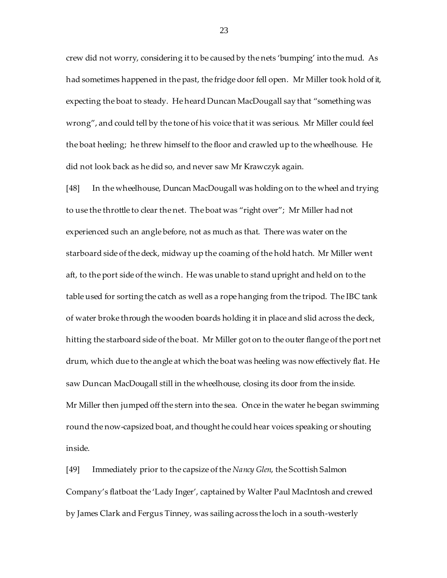crew did not worry, considering it to be caused by the nets 'bumping' into the mud. As had sometimes happened in the past, the fridge door fell open. Mr Miller took hold of it, expecting the boat to steady. He heard Duncan MacDougall say that "something was wrong", and could tell by the tone of his voice that it was serious. Mr Miller could feel the boat heeling; he threw himself to the floor and crawled up to the wheelhouse. He did not look back as he did so, and never saw Mr Krawczyk again.

[48] In the wheelhouse, Duncan MacDougall was holding on to the wheel and trying to use the throttle to clear the net. The boat was "right over"; Mr Miller had not experienced such an angle before, not as much as that. There was water on the starboard side of the deck, midway up the coaming of the hold hatch. Mr Miller went aft, to the port side of the winch. He was unable to stand upright and held on to the table used for sorting the catch as well as a rope hanging from the tripod. The IBC tank of water broke through the wooden boards holding it in place and slid across the deck, hitting the starboard side of the boat. Mr Miller got on to the outer flange of the port net drum, which due to the angle at which the boat was heeling was now effectively flat. He saw Duncan MacDougall still in the wheelhouse, closing its door from the inside. Mr Miller then jumped off the stern into the sea. Once in the water he began swimming round the now-capsized boat, and thought he could hear voices speaking or shouting inside.

[49] Immediately prior to the capsize of the *Nancy Glen*, the Scottish Salmon Company's flatboat the 'Lady Inger', captained by Walter Paul MacIntosh and crewed by James Clark and Fergus Tinney, was sailing across the loch in a south-westerly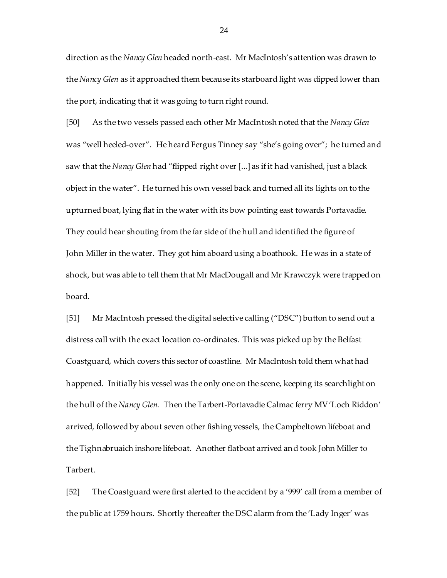direction as the *Nancy Glen* headed north-east. Mr MacIntosh's attention was drawn to the *Nancy Glen* as it approached them because its starboard light was dipped lower than the port, indicating that it was going to turn right round.

[50] As the two vessels passed each other Mr MacIntosh noted that the *Nancy Glen* was "well heeled-over". He heard Fergus Tinney say "she's going over"; he turned and saw that the *Nancy Glen* had "flipped right over [...] as if it had vanished, just a black object in the water". He turned his own vessel back and turned all its lights on to the upturned boat, lying flat in the water with its bow pointing east towards Portavadie. They could hear shouting from the far side of the hull and identified the figure of John Miller in the water. They got him aboard using a boathook. He was in a state of shock, but was able to tell them that Mr MacDougall and Mr Krawczyk were trapped on board.

[51] Mr MacIntosh pressed the digital selective calling ("DSC") button to send out a distress call with the exact location co-ordinates. This was picked up by the Belfast Coastguard, which covers this sector of coastline. Mr MacIntosh told them what had happened. Initially his vessel was the only one on the scene, keeping its searchlight on the hull of the *Nancy Glen*. Then the Tarbert-Portavadie Calmac ferry MV 'Loch Riddon' arrived, followed by about seven other fishing vessels, the Campbeltown lifeboat and the Tighnabruaich inshore lifeboat. Another flatboat arrived and took John Miller to Tarbert.

[52] The Coastguard were first alerted to the accident by a '999' call from a member of the public at 1759 hours. Shortly thereafter the DSC alarm from the 'Lady Inger' was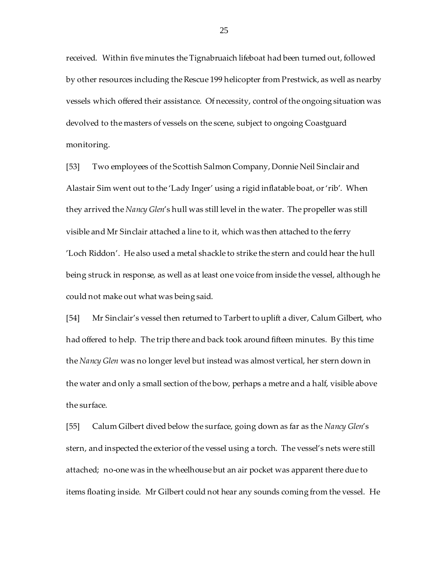received. Within five minutes the Tignabruaich lifeboat had been turned out, followed by other resources including the Rescue 199 helicopter from Prestwick, as well as nearby vessels which offered their assistance. Of necessity, control of the ongoing situation was devolved to the masters of vessels on the scene, subject to ongoing Coastguard monitoring.

[53] Two employees of the Scottish Salmon Company, Donnie Neil Sinclair and Alastair Sim went out to the 'Lady Inger' using a rigid inflatable boat, or 'rib'. When they arrived the *Nancy Glen*'s hull was still level in the water. The propeller was still visible and Mr Sinclair attached a line to it, which was then attached to the ferry 'Loch Riddon'. He also used a metal shackle to strike the stern and could hear the hull being struck in response, as well as at least one voice from inside the vessel, although he could not make out what was being said.

[54] Mr Sinclair's vessel then returned to Tarbert to uplift a diver, Calum Gilbert, who had offered to help. The trip there and back took around fifteen minutes. By this time the *Nancy Glen* was no longer level but instead was almost vertical, her stern down in the water and only a small section of the bow, perhaps a metre and a half, visible above the surface.

[55] Calum Gilbert dived below the surface, going down as far as the *Nancy Glen*'s stern, and inspected the exterior of the vessel using a torch. The vessel's nets were still attached; no-one was in the wheelhouse but an air pocket was apparent there due to items floating inside. Mr Gilbert could not hear any sounds coming from the vessel. He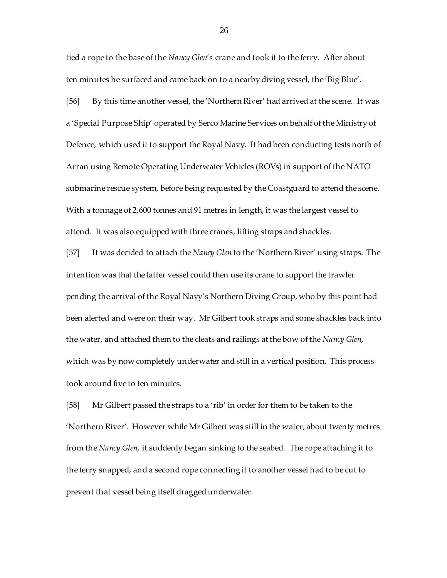tied a rope to the base of the *Nancy Glen*'s crane and took it to the ferry. After about ten minutes he surfaced and came back on to a nearby diving vessel, the 'Big Blue'.

[56] By this time another vessel, the 'Northern River' had arrived at the scene. It was a 'Special Purpose Ship' operated by Serco Marine Services on behalf of the Ministry of Defence, which used it to support the Royal Navy. It had been conducting tests north of Arran using Remote Operating Underwater Vehicles (ROVs) in support of the NATO submarine rescue system, before being requested by the Coastguard to attend the scene. With a tonnage of 2,600 tonnes and 91 metres in length, it was the largest vessel to attend. It was also equipped with three cranes, lifting straps and shackles.

[57] It was decided to attach the *Nancy Glen* to the 'Northern River' using straps. The intention was that the latter vessel could then use its crane to support the trawler pending the arrival of the Royal Navy's Northern Diving Group, who by this point had been alerted and were on their way. Mr Gilbert took straps and some shackles back into the water, and attached them to the cleats and railings at the bow of the *Nancy Glen*, which was by now completely underwater and still in a vertical position. This process took around five to ten minutes.

[58] Mr Gilbert passed the straps to a 'rib' in order for them to be taken to the 'Northern River'. However while Mr Gilbert was still in the water, about twenty metres from the *Nancy Glen*, it suddenly began sinking to the seabed. The rope attaching it to the ferry snapped, and a second rope connecting it to another vessel had to be cut to prevent that vessel being itself dragged underwater.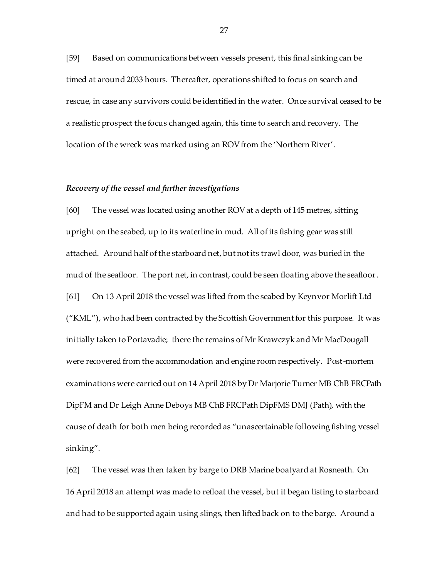[59] Based on communications between vessels present, this final sinking can be timed at around 2033 hours. Thereafter, operations shifted to focus on search and rescue, in case any survivors could be identified in the water. Once survival ceased to be a realistic prospect the focus changed again, this time to search and recovery. The location of the wreck was marked using an ROV from the 'Northern River'.

## *Recovery of the vessel and further investigations*

[60] The vessel was located using another ROV at a depth of 145 metres, sitting upright on the seabed, up to its waterline in mud. All of its fishing gear was still attached. Around half of the starboard net, but not its trawl door, was buried in the mud of the seafloor. The port net, in contrast, could be seen floating above the seafloor. [61] On 13 April 2018 the vessel was lifted from the seabed by Keynvor Morlift Ltd ("KML"), who had been contracted by the Scottish Government for this purpose. It was initially taken to Portavadie; there the remains of Mr Krawczyk and Mr MacDougall were recovered from the accommodation and engine room respectively. Post-mortem examinations were carried out on 14 April 2018 by Dr Marjorie Turner MB ChB FRCPath DipFM and Dr Leigh Anne Deboys MB ChB FRCPath DipFMS DMJ (Path), with the cause of death for both men being recorded as "unascertainable following fishing vessel sinking".

[62] The vessel was then taken by barge to DRB Marine boatyard at Rosneath. On 16 April 2018 an attempt was made to refloat the vessel, but it began listing to starboard and had to be supported again using slings, then lifted back on to the barge. Around a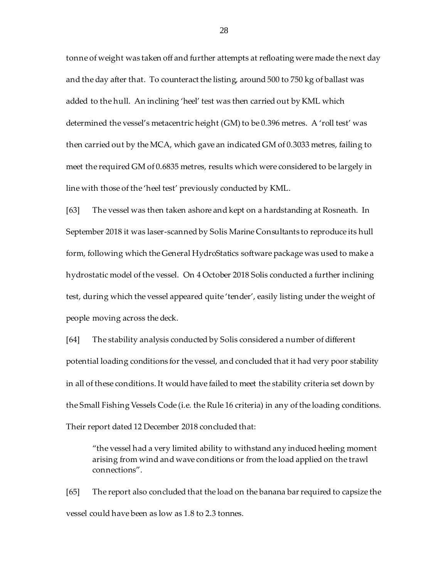tonne of weight was taken off and further attempts at refloating were made the next day and the day after that. To counteract the listing, around 500 to 750 kg of ballast was added to the hull. An inclining 'heel' test was then carried out by KML which determined the vessel's metacentric height (GM) to be 0.396 metres. A 'roll test' was then carried out by the MCA, which gave an indicated GM of 0.3033 metres, failing to meet the required GM of 0.6835 metres, results which were considered to be largely in line with those of the 'heel test' previously conducted by KML.

[63] The vessel was then taken ashore and kept on a hardstanding at Rosneath. In September 2018 it was laser-scanned by Solis Marine Consultants to reproduce its hull form, following which the General HydroStatics software package was used to make a hydrostatic model of the vessel. On 4 October 2018 Solis conducted a further inclining test, during which the vessel appeared quite 'tender', easily listing under the weight of people moving across the deck.

[64] The stability analysis conducted by Solis considered a number of different potential loading conditions for the vessel, and concluded that it had very poor stability in all of these conditions. It would have failed to meet the stability criteria set down by the Small Fishing Vessels Code (i.e. the Rule 16 criteria) in any of the loading conditions. Their report dated 12 December 2018 concluded that:

"the vessel had a very limited ability to withstand any induced heeling moment arising from wind and wave conditions or from the load applied on the trawl connections".

[65] The report also concluded that the load on the banana bar required to capsize the vessel could have been as low as 1.8 to 2.3 tonnes.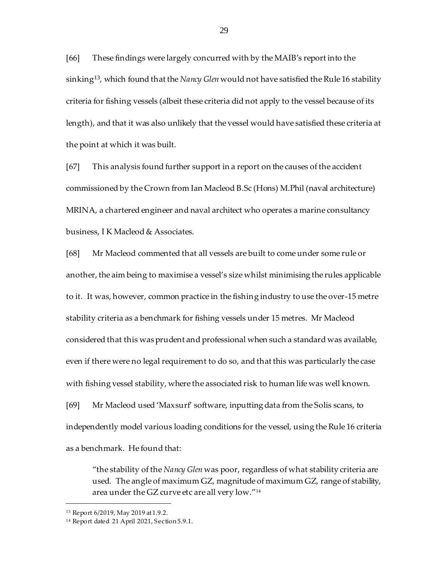[66] These findings were largely concurred with by the MAIB's report into the sinking13, which found that the *Nancy Glen* would not have satisfied the Rule 16 stability criteria for fishing vessels (albeit these criteria did not apply to the vessel because of its length), and that it was also unlikely that the vessel would have satisfied these criteria at the point at which it was built.

[67] This analysis found further support in a report on the causes of the accident commissioned by the Crown from Ian Macleod B.Sc (Hons) M.Phil (naval architecture) MRINA, a chartered engineer and naval architect who operates a marine consultancy business, I K Macleod & Associates.

[68] Mr Macleod commented that all vessels are built to come under some rule or another, the aim being to maximise a vessel's size whilst minimising the rules applicable to it. It was, however, common practice in the fishing industry to use the over-15 metre stability criteria as a benchmark for fishing vessels under 15 metres. Mr Macleod considered that this was prudent and professional when such a standard was available, even if there were no legal requirement to do so, and that this was particularly the case with fishing vessel stability, where the associated risk to human life was well known. [69] Mr Macleod used 'Maxsurf' software, inputting data from the Solis scans, to independently model various loading conditions for the vessel, using the Rule 16 criteria as a benchmark. He found that:

"the stability of the *Nancy Glen* was poor, regardless of what stability criteria are used. The angle of maximum GZ, magnitude of maximum GZ, range of stability, area under the GZ curve etc are all very low." $^{\prime\prime}{}^{\overline{14}}$ 

<sup>13</sup> Report 6/2019, May 2019 at 1.9.2.

<sup>14</sup> Report dated 21 April 2021, Section 5.9.1.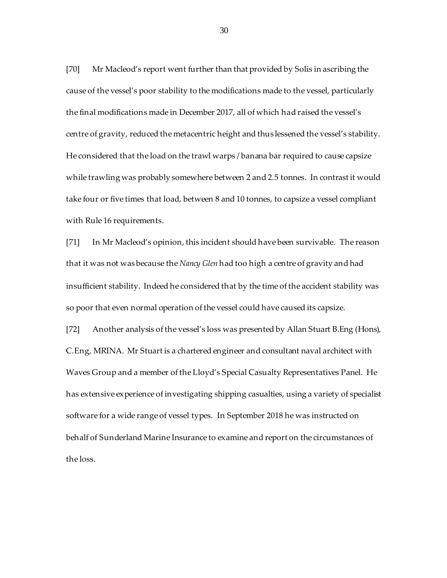[70] Mr Macleod's report went further than that provided by Solis in ascribing the cause of the vessel's poor stability to the modifications made to the vessel, particularly the final modifications made in December 2017, all of which had raised the vessel's centre of gravity, reduced the metacentric height and thus lessened the vessel's stability. He considered that the load on the trawl warps / banana bar required to cause capsize while trawling was probably somewhere between 2 and 2.5 tonnes. In contrast it would take four or five times that load, between 8 and 10 tonnes, to capsize a vessel compliant with Rule 16 requirements.

[71] In Mr Macleod's opinion, this incident should have been survivable. The reason that it was not was because the *Nancy Glen* had too high a centre of gravity and had insufficient stability. Indeed he considered that by the time of the accident stability was so poor that even normal operation of the vessel could have caused its capsize.

[72] Another analysis of the vessel's loss was presented by Allan Stuart B.Eng (Hons), C.Eng, MRINA. Mr Stuart is a chartered engineer and consultant naval architect with Waves Group and a member of the Lloyd's Special Casualty Representatives Panel. He has extensive experience of investigating shipping casualties, using a variety of specialist software for a wide range of vessel types. In September 2018 he was instructed on behalf of Sunderland Marine Insurance to examine and report on the circumstances of the loss.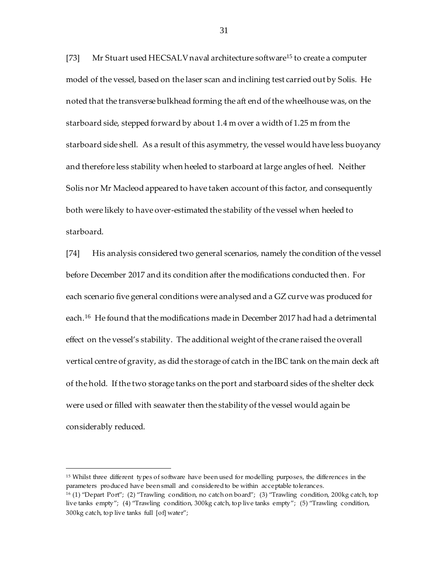[73] Mr Stuart used HECSALV naval architecture software<sup>15</sup> to create a computer model of the vessel, based on the laser scan and inclining test carried out by Solis. He noted that the transverse bulkhead forming the aft end of the wheelhouse was, on the starboard side, stepped forward by about 1.4 m over a width of 1.25 m from the starboard side shell. As a result of this asymmetry, the vessel would have less buoyancy and therefore less stability when heeled to starboard at large angles of heel. Neither Solis nor Mr Macleod appeared to have taken account of this factor, and consequently both were likely to have over-estimated the stability of the vessel when heeled to starboard.

[74] His analysis considered two general scenarios, namely the condition of the vessel before December 2017 and its condition after the modifications conducted then. For each scenario five general conditions were analysed and a GZ curve was produced for each.<sup>16</sup> He found that the modifications made in December 2017 had had a detrimental effect on the vessel's stability. The additional weight of the crane raised the overall vertical centre of gravity, as did the storage of catch in the IBC tank on the main deck aft of the hold. If the two storage tanks on the port and starboard sides of the shelter deck were used or filled with seawater then the stability of the vessel would again be considerably reduced.

<sup>&</sup>lt;sup>15</sup> Whilst three different types of software have been used for modelling purposes, the differences in the parameters produced have been small and considered to be within acceptable tolerances.

<sup>16</sup> (1) "Depart Port"; (2) "Trawling condition, no catch on board"; (3) "Trawling condition, 200kg catch, top live tanks empty"; (4) "Trawling condition, 300kg catch, top live tanks empty"; (5) "Trawling condition, 300kg catch, top live tanks full [of] water";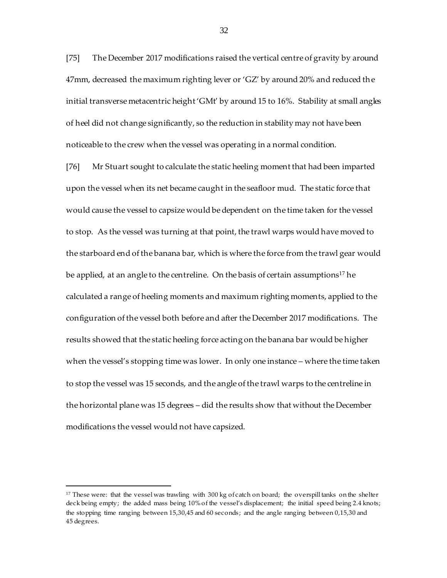[75] The December 2017 modifications raised the vertical centre of gravity by around 47mm, decreased the maximum righting lever or 'GZ' by around 20% and reduced the initial transverse metacentric height 'GMt' by around 15 to 16%. Stability at small angles of heel did not change significantly, so the reduction in stability may not have been noticeable to the crew when the vessel was operating in a normal condition.

[76] Mr Stuart sought to calculate the static heeling moment that had been imparted upon the vessel when its net became caught in the seafloor mud. The static force that would cause the vessel to capsize would be dependent on the time taken for the vessel to stop. As the vessel was turning at that point, the trawl warps would have moved to the starboard end of the banana bar, which is where the force from the trawl gear would be applied, at an angle to the centreline. On the basis of certain assumptions<sup>17</sup> he calculated a range of heeling moments and maximum righting moments, applied to the configuration of the vessel both before and after the December 2017 modifications. The results showed that the static heeling force acting on the banana bar would be higher when the vessel's stopping time was lower. In only one instance – where the time taken to stop the vessel was 15 seconds, and the angle of the trawl warps to the centreline in the horizontal plane was 15 degrees – did the results show that without the December modifications the vessel would not have capsized.

<sup>17</sup> These were: that the vessel was trawling with 300 kg of catch on board; the overspill tanks on the shelter deck being empty; the added mass being 10% of the vessel's displacement; the initial speed being 2.4 knots; the stopping time ranging between 15,30,45 and 60 seconds; and the angle ranging between 0,15,30 and 45 degrees.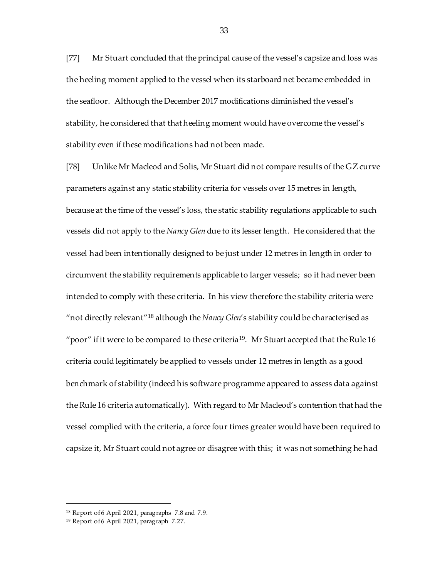[77] Mr Stuart concluded that the principal cause of the vessel's capsize and loss was the heeling moment applied to the vessel when its starboard net became embedded in the seafloor. Although the December 2017 modifications diminished the vessel's stability, he considered that that heeling moment would have overcome the vessel's stability even if these modifications had not been made.

[78] Unlike Mr Macleod and Solis, Mr Stuart did not compare results of the GZ curve parameters against any static stability criteria for vessels over 15 metres in length, because at the time of the vessel's loss, the static stability regulations applicable to such vessels did not apply to the *Nancy Glen* due to its lesser length. He considered that the vessel had been intentionally designed to be just under 12 metres in length in order to circumvent the stability requirements applicable to larger vessels; so it had never been intended to comply with these criteria. In his view therefore the stability criteria were "not directly relevant"<sup>18</sup> although the *Nancy Glen*'s stability could be characterised as "poor" if it were to be compared to these criteria<sup>19</sup>. Mr Stuart accepted that the Rule 16 criteria could legitimately be applied to vessels under 12 metres in length as a good benchmark of stability (indeed his software programme appeared to assess data against the Rule 16 criteria automatically). With regard to Mr Macleod's contention that had the vessel complied with the criteria, a force four times greater would have been required to capsize it, Mr Stuart could not agree or disagree with this; it was not something he had

<sup>&</sup>lt;sup>18</sup> Report of 6 April 2021, paragraphs 7.8 and 7.9.

<sup>&</sup>lt;sup>19</sup> Report of 6 April 2021, paragraph 7.27.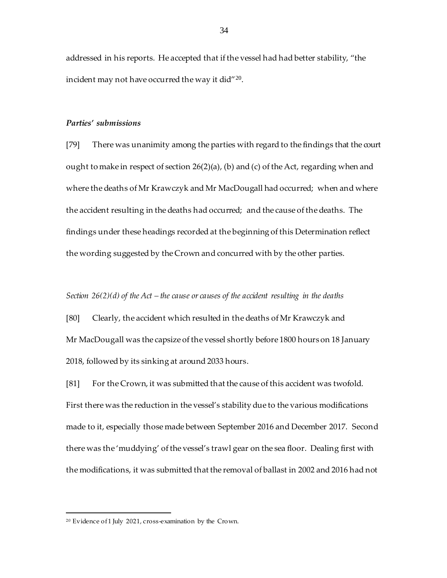addressed in his reports. He accepted that if the vessel had had better stability, "the incident may not have occurred the way it did $^{\prime\prime\,20}.$ 

#### *Parties' submissions*

[79] There was unanimity among the parties with regard to the findings that the court ought to make in respect of section 26(2)(a), (b) and (c) of the Act, regarding when and where the deaths of Mr Krawczyk and Mr MacDougall had occurred; when and where the accident resulting in the deaths had occurred; and the cause of the deaths. The findings under these headings recorded at the beginning of this Determination reflect the wording suggested by the Crown and concurred with by the other parties.

#### *Section 26(2)(d) of the Act – the cause or causes of the accident resulting in the deaths*

[80] Clearly, the accident which resulted in the deaths of Mr Krawczyk and Mr MacDougall was the capsize of the vessel shortly before 1800 hours on 18 January 2018, followed by its sinking at around 2033 hours.

[81] For the Crown, it was submitted that the cause of this accident was twofold. First there was the reduction in the vessel's stability due to the various modifications made to it, especially those made between September 2016 and December 2017. Second there was the 'muddying' of the vessel's trawl gear on the sea floor. Dealing first with the modifications, it was submitted that the removal of ballast in 2002 and 2016 had not

<sup>20</sup> Evidence of 1 July 2021, cross-examination by the Crown.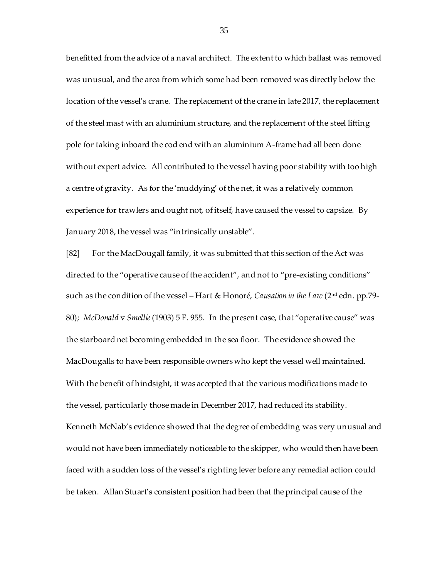benefitted from the advice of a naval architect. The extent to which ballast was removed was unusual, and the area from which some had been removed was directly below the location of the vessel's crane. The replacement of the crane in late 2017, the replacement of the steel mast with an aluminium structure, and the replacement of the steel lifting pole for taking inboard the cod end with an aluminium A-frame had all been done without expert advice. All contributed to the vessel having poor stability with too high a centre of gravity. As for the 'muddying' of the net, it was a relatively common experience for trawlers and ought not, of itself, have caused the vessel to capsize. By January 2018, the vessel was "intrinsically unstable".

[82] For the MacDougall family, it was submitted that this section of the Act was directed to the "operative cause of the accident", and not to "pre-existing conditions" such as the condition of the vessel – Hart & Honoré, *Causation in the Law* (2nd edn. pp.79- 80); *McDonald* v *Smellie*(1903) 5 F. 955. In the present case, that "operative cause" was the starboard net becoming embedded in the sea floor. The evidence showed the MacDougalls to have been responsible owners who kept the vessel well maintained. With the benefit of hindsight, it was accepted that the various modifications made to the vessel, particularly those made in December 2017, had reduced its stability. Kenneth McNab's evidence showed that the degree of embedding was very unusual and would not have been immediately noticeable to the skipper, who would then have been faced with a sudden loss of the vessel's righting lever before any remedial action could be taken. Allan Stuart's consistent position had been that the principal cause of the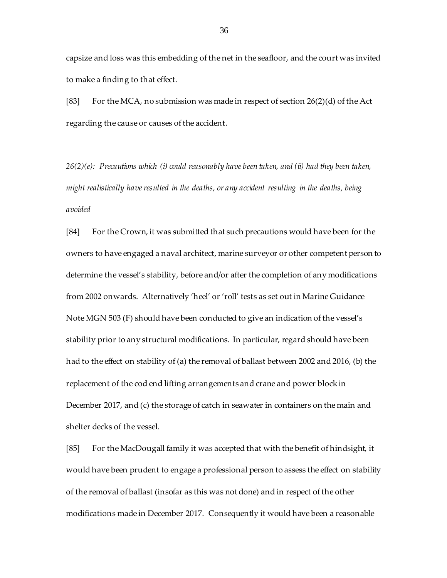capsize and loss was this embedding of the net in the seafloor, and the court was invited to make a finding to that effect.

[83] For the MCA, no submission was made in respect of section  $26(2)(d)$  of the Act regarding the cause or causes of the accident.

*26(2)(e): Precautions which (i) could reasonably have been taken, and (ii) had they been taken, might realistically have resulted in the deaths, or any accident resulting in the deaths, being avoided*

[84] For the Crown, it was submitted that such precautions would have been for the owners to have engaged a naval architect, marine surveyor or other competent person to determine the vessel's stability, before and/or after the completion of any modifications from 2002 onwards. Alternatively 'heel' or 'roll' tests as set out in Marine Guidance Note MGN 503 (F) should have been conducted to give an indication of the vessel's stability prior to any structural modifications. In particular, regard should have been had to the effect on stability of (a) the removal of ballast between 2002 and 2016, (b) the replacement of the cod end lifting arrangements and crane and power block in December 2017, and (c) the storage of catch in seawater in containers on the main and shelter decks of the vessel.

[85] For the MacDougall family it was accepted that with the benefit of hindsight, it would have been prudent to engage a professional person to assess the effect on stability of the removal of ballast (insofar as this was not done) and in respect of the other modifications made in December 2017. Consequently it would have been a reasonable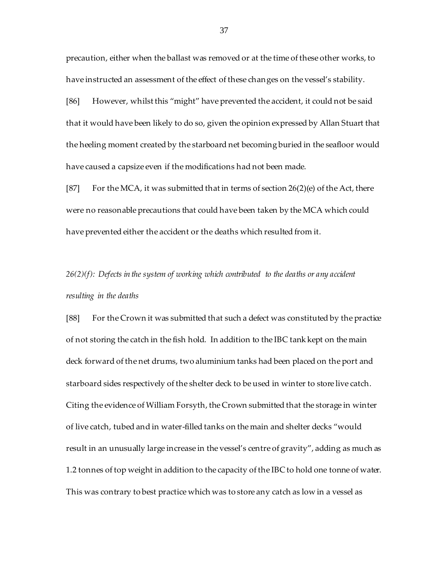precaution, either when the ballast was removed or at the time of these other works, to have instructed an assessment of the effect of these changes on the vessel's stability.

[86] However, whilst this "might" have prevented the accident, it could not be said that it would have been likely to do so, given the opinion expressed by Allan Stuart that the heeling moment created by the starboard net becoming buried in the seafloor would have caused a capsize even if the modifications had not been made.

[87] For the MCA, it was submitted that in terms of section  $26(2)$ (e) of the Act, there were no reasonable precautions that could have been taken by the MCA which could have prevented either the accident or the deaths which resulted from it.

# *26(2)(f): Defects in the system of working which contributed to the deaths or any accident resulting in the deaths*

[88] For the Crown it was submitted that such a defect was constituted by the practice of not storing the catch in the fish hold. In addition to the IBC tank kept on the main deck forward of the net drums, two aluminium tanks had been placed on the port and starboard sides respectively of the shelter deck to be used in winter to store live catch. Citing the evidence of William Forsyth, the Crown submitted that the storage in winter of live catch, tubed and in water-filled tanks on the main and shelter decks "would result in an unusually large increase in the vessel's centre of gravity", adding as much as 1.2 tonnes of top weight in addition to the capacity of the IBC to hold one tonne of water. This was contrary to best practice which was to store any catch as low in a vessel as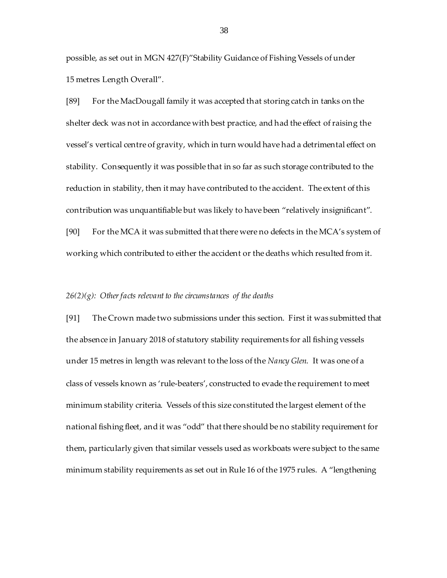possible, as set out in MGN 427(F)"Stability Guidance of Fishing Vessels of under 15 metres Length Overall".

[89] For the MacDougall family it was accepted that storing catch in tanks on the shelter deck was not in accordance with best practice, and had the effect of raising the vessel's vertical centre of gravity, which in turn would have had a detrimental effect on stability. Consequently it was possible that in so far as such storage contributed to the reduction in stability, then it may have contributed to the accident. The extent of this contribution was unquantifiable but was likely to have been "relatively insignificant". [90] For the MCA it was submitted that there were no defects in the MCA's system of working which contributed to either the accident or the deaths which resulted from it.

#### *26(2)(g): Other facts relevant to the circumstances of the deaths*

[91] The Crown made two submissions under this section. First it was submitted that the absence in January 2018 of statutory stability requirements for all fishing vessels under 15 metres in length was relevant to the loss of the *Nancy Glen*. It was one of a class of vessels known as 'rule-beaters', constructed to evade the requirement to meet minimum stability criteria. Vessels of this size constituted the largest element of the national fishing fleet, and it was "odd" that there should be no stability requirement for them, particularly given that similar vessels used as workboats were subject to the same minimum stability requirements as set out in Rule 16 of the 1975 rules. A "lengthening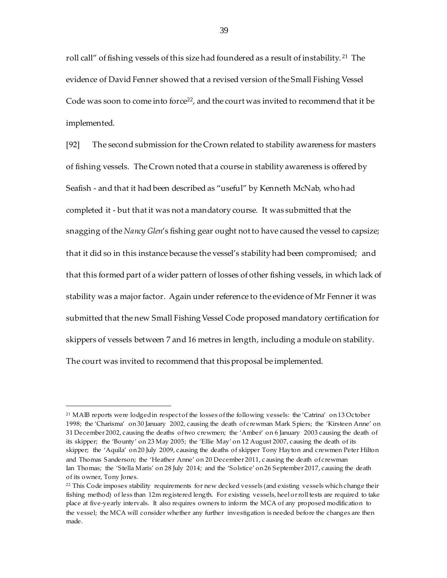roll call" of fishing vessels of this size had foundered as a result of instability. <sup>21</sup> The evidence of David Fenner showed that a revised version of the Small Fishing Vessel Code was soon to come into force<sup>22</sup>, and the court was invited to recommend that it be implemented.

[92] The second submission for the Crown related to stability awareness for masters of fishing vessels. The Crown noted that a course in stability awareness is offered by Seafish - and that it had been described as "useful" by Kenneth McNab, who had completed it - but that it was not a mandatory course. It was submitted that the snagging of the *Nancy Glen*'s fishing gear ought not to have caused the vessel to capsize; that it did so in this instance because the vessel's stability had been compromised; and that this formed part of a wider pattern of losses of other fishing vessels, in which lack of stability was a major factor. Again under reference to the evidence of Mr Fenner it was submitted that the new Small Fishing Vessel Code proposed mandatory certification for skippers of vessels between 7 and 16 metres in length, including a module on stability. The court was invited to recommend that this proposal be implemented.

j

<sup>&</sup>lt;sup>21</sup> MAIB reports were lodged in respect of the losses of the following vessels: the 'Catrina' on 13 October 1998; the 'Charisma' on 30 January 2002, causing the death of crewman Mark Spiers; the 'Kirsteen Anne' on 31 December 2002, causing the deaths of two crewmen; the 'Amber' on 6 January 2003 causing the death of its skipper; the 'Bounty' on 23 May 2005; the 'Ellie May' on 12 August 2007, causing the death of its skipper; the 'Aquila' on 20 July 2009, causing the deaths of skipper Tony Hayton and crewmen Peter Hilton and Thomas Sanderson; the 'Heather Anne' on 20 December 2011, c ausing the death of crewman Ian Thomas; the 'Stella Maris' on 28 July 2014; and the 'Solstice' on 26 September 2017, causing the death of its owner, Tony Jones.

<sup>22</sup> This Code imposes stability requirements for new decked vessels (and existing vessels which change their fishing method) of less than 12m registered length. For existing vessels, heel or roll tests are required to take place at five-yearly intervals. It also requires owners to inform the MCA of any proposed modification to the vessel; the MCA will consider whether any further investigation is needed before the changes are then made.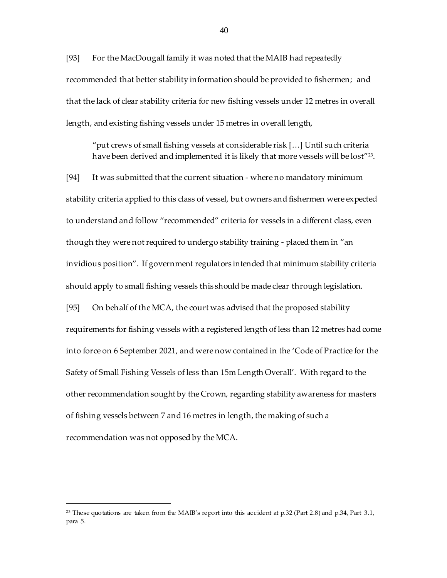[93] For the MacDougall family it was noted that the MAIB had repeatedly recommended that better stability information should be provided to fishermen; and that the lack of clear stability criteria for new fishing vessels under 12 metres in overall length, and existing fishing vessels under 15 metres in overall length,

"put crews of small fishing vessels at considerable risk […] Until such criteria have been derived and implemented it is likely that more vessels will be lost"<sup>23</sup> .

[94] It was submitted that the current situation - where no mandatory minimum stability criteria applied to this class of vessel, but owners and fishermen were expected to understand and follow "recommended" criteria for vessels in a different class, even though they were not required to undergo stability training - placed them in "an invidious position". If government regulators intended that minimum stability criteria should apply to small fishing vessels this should be made clear through legislation. [95] On behalf of the MCA, the court was advised that the proposed stability requirements for fishing vessels with a registered length of less than 12 metres had come into force on 6 September 2021, and were now contained in the 'Code of Practice for the Safety of Small Fishing Vessels of less than 15m Length Overall'. With regard to the other recommendation sought by the Crown, regarding stability awareness for masters of fishing vessels between 7 and 16 metres in length, the making of such a recommendation was not opposed by the MCA.

<sup>23</sup> These quotations are taken from the MAIB's report into this accident at p.32 (Part 2.8) and p.34, Part 3.1, para 5.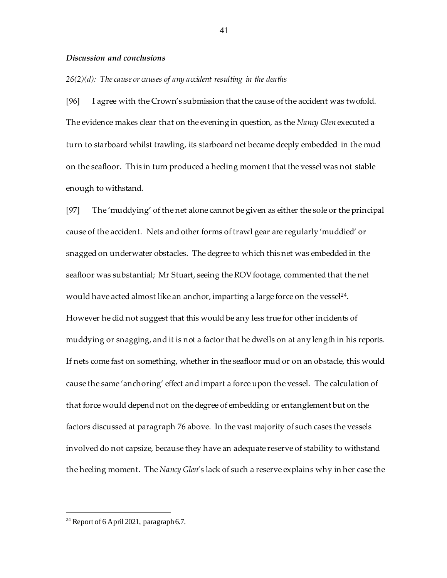### *Discussion and conclusions*

#### *26(2)(d): The cause or causes of any accident resulting in the deaths*

[96] I agree with the Crown's submission that the cause of the accident was twofold. The evidence makes clear that on the evening in question, as the *Nancy Glen* executed a turn to starboard whilst trawling, its starboard net became deeply embedded in the mud on the seafloor. This in turn produced a heeling moment that the vessel was not stable enough to withstand.

[97] The 'muddying' of the net alone cannot be given as either the sole or the principal cause of the accident. Nets and other forms of trawl gear are regularly 'muddied' or snagged on underwater obstacles. The degree to which this net was embedded in the seafloor was substantial; Mr Stuart, seeing the ROV footage, commented that the net would have acted almost like an anchor, imparting a large force on the vessel<sup>24</sup>. However he did not suggest that this would be any less true for other incidents of muddying or snagging, and it is not a factor that he dwells on at any length in his reports. If nets come fast on something, whether in the seafloor mud or on an obstacle, this would cause the same 'anchoring' effect and impart a force upon the vessel. The calculation of that force would depend not on the degree of embedding or entanglement but on the factors discussed at paragraph 76 above. In the vast majority of such cases the vessels involved do not capsize, because they have an adequate reserve of stability to withstand the heeling moment. The *Nancy Glen*'s lack of such a reserve explains why in her case the

<sup>&</sup>lt;sup>24</sup> Report of 6 April 2021, paragraph 6.7.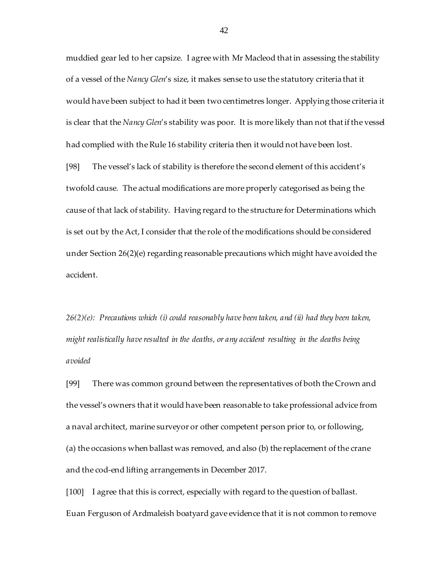muddied gear led to her capsize. I agree with Mr Macleod that in assessing the stability of a vessel of the *Nancy Glen*'s size, it makes sense to use the statutory criteria that it would have been subject to had it been two centimetres longer. Applying those criteria it is clear that the *Nancy Glen*'s stability was poor. It is more likely than not that if the vessel had complied with the Rule 16 stability criteria then it would not have been lost.

[98] The vessel's lack of stability is therefore the second element of this accident's twofold cause. The actual modifications are more properly categorised as being the cause of that lack of stability. Having regard to the structure for Determinations which is set out by the Act, I consider that the role of the modifications should be considered under Section 26(2)(e) regarding reasonable precautions which might have avoided the accident.

*26(2)(e): Precautions which (i) could reasonably have been taken, and (ii) had they been taken, might realistically have resulted in the deaths, or any accident resulting in the deaths being avoided*

[99] There was common ground between the representatives of both the Crown and the vessel's owners that it would have been reasonable to take professional advice from a naval architect, marine surveyor or other competent person prior to, or following, (a) the occasions when ballast was removed, and also (b) the replacement of the crane and the cod-end lifting arrangements in December 2017.

[100] I agree that this is correct, especially with regard to the question of ballast. Euan Ferguson of Ardmaleish boatyard gave evidence that it is not common to remove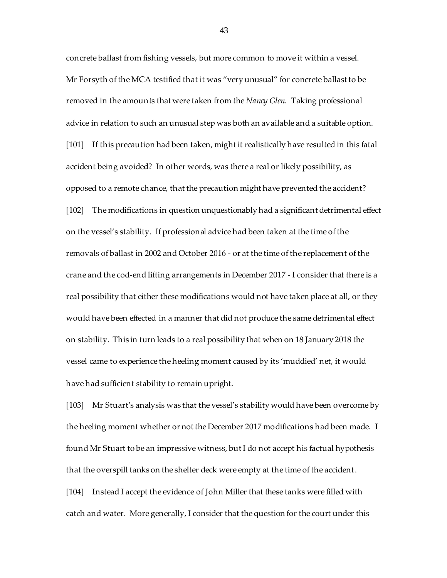concrete ballast from fishing vessels, but more common to move it within a vessel. Mr Forsyth of the MCA testified that it was "very unusual" for concrete ballast to be removed in the amounts that were taken from the *Nancy Glen*. Taking professional advice in relation to such an unusual step was both an available and a suitable option. [101] If this precaution had been taken, might it realistically have resulted in this fatal accident being avoided? In other words, was there a real or likely possibility, as opposed to a remote chance, that the precaution might have prevented the accident? [102] The modifications in question unquestionably had a significant detrimental effect on the vessel's stability. If professional advice had been taken at the time of the removals of ballast in 2002 and October 2016 - or at the time of the replacement of the crane and the cod-end lifting arrangements in December 2017 - I consider that there is a real possibility that either these modifications would not have taken place at all, or they would have been effected in a manner that did not produce the same detrimental effect on stability. This in turn leads to a real possibility that when on 18 January 2018 the vessel came to experience the heeling moment caused by its 'muddied' net, it would have had sufficient stability to remain upright.

[103] Mr Stuart's analysis was that the vessel's stability would have been overcome by the heeling moment whether or not the December 2017 modifications had been made. I found Mr Stuart to be an impressive witness, but I do not accept his factual hypothesis that the overspill tanks on the shelter deck were empty at the time of the accident.

[104] Instead I accept the evidence of John Miller that these tanks were filled with catch and water. More generally, I consider that the question for the court under this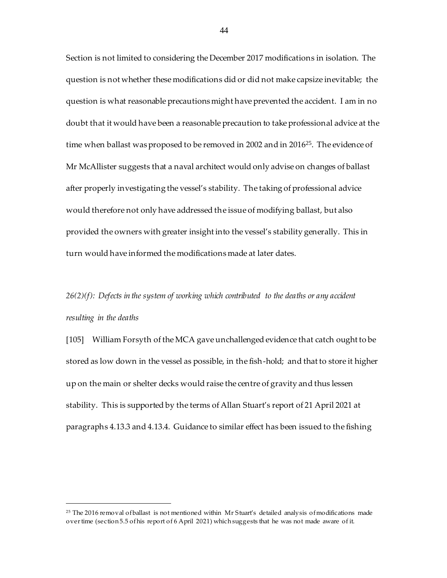Section is not limited to considering the December 2017 modifications in isolation. The question is not whether these modifications did or did not make capsize inevitable; the question is what reasonable precautions might have prevented the accident. I am in no doubt that it would have been a reasonable precaution to take professional advice at the time when ballast was proposed to be removed in 2002 and in  $2016^{25}$ . The evidence of Mr McAllister suggests that a naval architect would only advise on changes of ballast after properly investigating the vessel's stability. The taking of professional advice would therefore not only have addressed the issue of modifying ballast, but also provided the owners with greater insight into the vessel's stability generally. This in turn would have informed the modifications made at later dates.

# *26(2)(f): Defects in the system of working which contributed to the deaths or any accident resulting in the deaths*

[105] William Forsyth of the MCA gave unchallenged evidence that catch ought to be stored as low down in the vessel as possible, in the fish-hold; and that to store it higher up on the main or shelter decks would raise the centre of gravity and thus lessen stability. This is supported by the terms of Allan Stuart's report of 21 April 2021 at paragraphs 4.13.3 and 4.13.4. Guidance to similar effect has been issued to the fishing

l

<sup>&</sup>lt;sup>25</sup> The 2016 removal of ballast is not mentioned within Mr Stuart's detailed analysis of modifications made over time (section 5.5 of his report of 6 April 2021) which suggests that he was not made aware of it.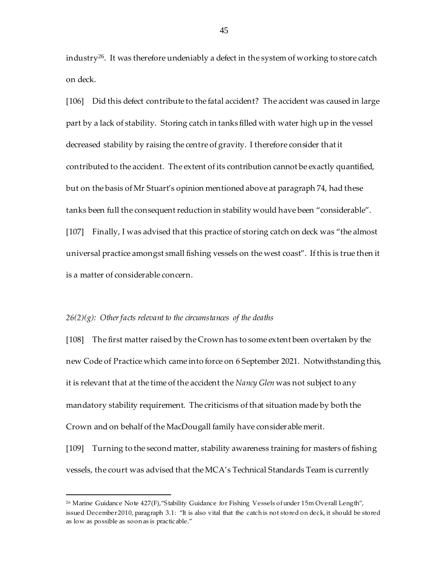industry<sup>26</sup>. It was therefore undeniably a defect in the system of working to store catch on deck.

[106] Did this defect contribute to the fatal accident? The accident was caused in large part by a lack of stability. Storing catch in tanks filled with water high up in the vessel decreased stability by raising the centre of gravity. I therefore consider that it contributed to the accident. The extent of its contribution cannot be exactly quantified, but on the basis of Mr Stuart's opinion mentioned above at paragraph 74, had these tanks been full the consequent reduction in stability would have been "considerable". [107] Finally, I was advised that this practice of storing catch on deck was "the almost universal practice amongst small fishing vessels on the west coast". If this is true then it is a matter of considerable concern.

#### *26(2)(g): Other facts relevant to the circumstances of the deaths*

l

[108] The first matter raised by the Crown has to some extent been overtaken by the new Code of Practice which came into force on 6 September 2021. Notwithstanding this, it is relevant that at the time of the accident the *Nancy Glen* was not subject to any mandatory stability requirement. The criticisms of that situation made by both the Crown and on behalf of the MacDougall family have considerable merit.

[109] Turning to the second matter, stability awareness training for masters of fishing vessels, the court was advised that the MCA's Technical Standards Team is currently

<sup>&</sup>lt;sup>26</sup> Marine Guidance Note 427(F), "Stability Guidance for Fishing Vessels of under 15m Overall Length", issued December 2010, paragraph 3.1: "It is also vital that the catch is not stored on deck, it should be stored as low as possible as soon as is practicable."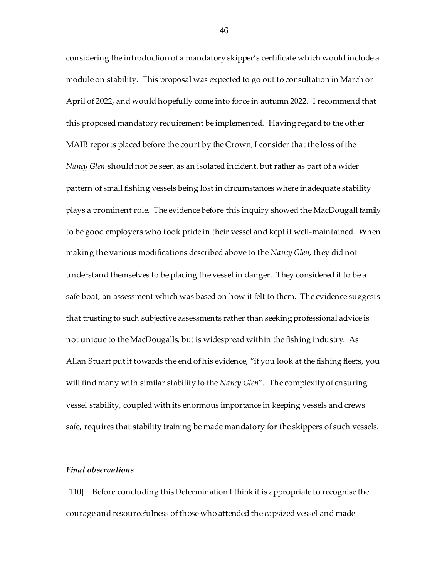considering the introduction of a mandatory skipper's certificate which would include a module on stability. This proposal was expected to go out to consultation in March or April of 2022, and would hopefully come into force in autumn 2022. I recommend that this proposed mandatory requirement be implemented. Having regard to the other MAIB reports placed before the court by the Crown, I consider that the loss of the *Nancy Glen* should not be seen as an isolated incident, but rather as part of a wider pattern of small fishing vessels being lost in circumstances where inadequate stability plays a prominent role. The evidence before this inquiry showed the MacDougall family to be good employers who took pride in their vessel and kept it well-maintained. When making the various modifications described above to the *Nancy Glen*, they did not understand themselves to be placing the vessel in danger. They considered it to be a safe boat, an assessment which was based on how it felt to them. The evidence suggests that trusting to such subjective assessments rather than seeking professional advice is not unique to the MacDougalls, but is widespread within the fishing industry. As Allan Stuart put it towards the end of his evidence, "if you look at the fishing fleets, you will find many with similar stability to the *Nancy Glen*". The complexity of ensuring vessel stability, coupled with its enormous importance in keeping vessels and crews safe, requires that stability training be made mandatory for the skippers of such vessels.

## *Final observations*

[110] Before concluding this Determination I think it is appropriate to recognise the courage and resourcefulness of those who attended the capsized vessel and made